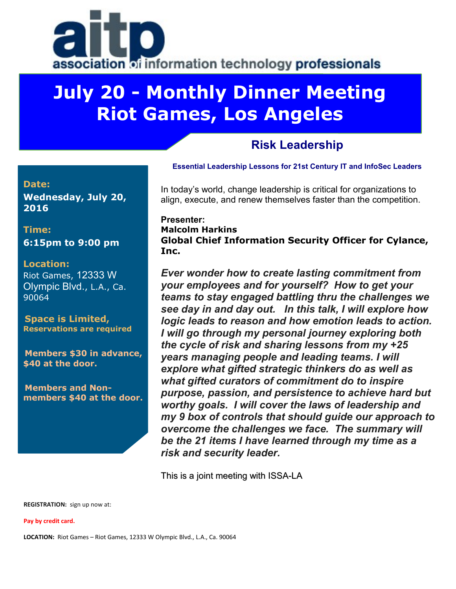

# **July 20 - Monthly Dinner Meeting Riot Games, Los Angeles**

### **Risk Leadership**

### **Essential Leadership Lessons for 21st Century IT and InfoSec Leaders**

In today's world, change leadership is critical for organizations to align, execute, and renew themselves faster than the competition.

#### **Presenter: Malcolm Harkins Global Chief Information Security Officer for Cylance, Inc.**

*Ever wonder how to create lasting commitment from your employees and for yourself? How to get your teams to stay engaged battling thru the challenges we see day in and day out. In this talk, I will explore how logic leads to reason and how emotion leads to action. I will go through my personal journey exploring both the cycle of risk and sharing lessons from my +25 years managing people and leading teams. I will explore what gifted strategic thinkers do as well as what gifted curators of commitment do to inspire purpose, passion, and persistence to achieve hard but worthy goals. I will cover the laws of leadership and my 9 box of controls that should guide our approach to overcome the challenges we face. The summary will be the 21 items I have learned through my time as a risk and security leader.*

This is a joint meeting with ISSA-LA

**REGISTRATION:** sign up now at:

**Pay by credit card.** 

**LOCATION:** Riot Games – Riot Games, 12333 W Olympic Blvd., L.A., Ca. 90064

#### **Date: Wednesday, July 20, 2016**

**Time: 6:15pm to 9:00 pm**

#### **Location:**

Riot Games, 12333 W Olympic Blvd., L.A., Ca. 90064

**Space is Limited, Reservations are required**

**Members \$30 in advance, \$40 at the door.**

**Members and Nonmembers \$40 at the door.**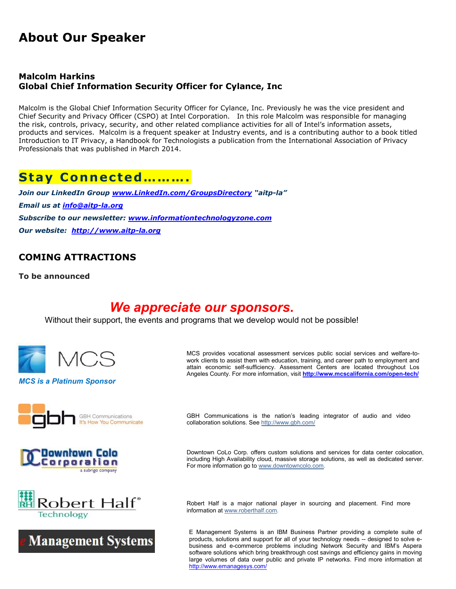## **About Our Speaker**

#### **Malcolm Harkins Global Chief Information Security Officer for Cylance, Inc**

Malcolm is the Global Chief Information Security Officer for Cylance, Inc. Previously he was the vice president and Chief Security and Privacy Officer (CSPO) at Intel Corporation. In this role Malcolm was responsible for managing the risk, controls, privacy, security, and other related compliance activities for all of Intel's information assets, products and services. Malcolm is a frequent speaker at Industry events, and is a contributing author to a book titled Introduction to IT Privacy, a Handbook for Technologists a publication from the International Association of Privacy Professionals that was published in March 2014.

### **Stay Connected……….**

*Join our LinkedIn Group [www.LinkedIn.com/GroupsDirectory](http://www.linkedin.com/GroupsDirectory) "aitp-la" Email us at [info@aitp-la.org](mailto:info@aitp-la.org) Subscribe to our newsletter: [www.informationtechnologyzone.com](http://www.informationtechnologyzone.com/) Our website: [http://www.aitp-la.org](http://www.aitp-la.org/)*

### **COMING ATTRACTIONS**

**To be announced**

### *We appreciate our sponsors***.**

Without their support, the events and programs that we develop would not be possible!



*MCS is a Platinum Sponsor*

MCS provides vocational assessment services public social services and welfare-towork clients to assist them with education, training, and career path to employment and attain economic self-sufficiency. Assessment Centers are located throughout Los Angeles County. For more information, visit **<http://www.mcscalifornia.com/open-tech/>**





Robert Half® Technology



GBH Communications is the nation's leading integrator of audio and video collaboration solutions. Se[e http://www.gbh.com/](http://www.gbh.com/)

Downtown CoLo Corp. offers custom solutions and services for data center colocation, including High Availability cloud, massive storage solutions, as well as dedicated server. For more information go t[o www.downtowncolo.com.](http://www.downtowncolo.com/)

Robert Half is a major national player in sourcing and placement. Find more information at [www.roberthalf.com.](http://www.roberthalf.com/)

E Management Systems is an IBM Business Partner providing a complete suite of products, solutions and support for all of your technology needs -- designed to solve ebusiness and e-commerce problems including Network Security and IBM's Aspera software solutions which bring breakthrough cost savings and efficiency gains in moving large volumes of data over public and private IP networks. Find more information at <http://www.emanagesys.com/>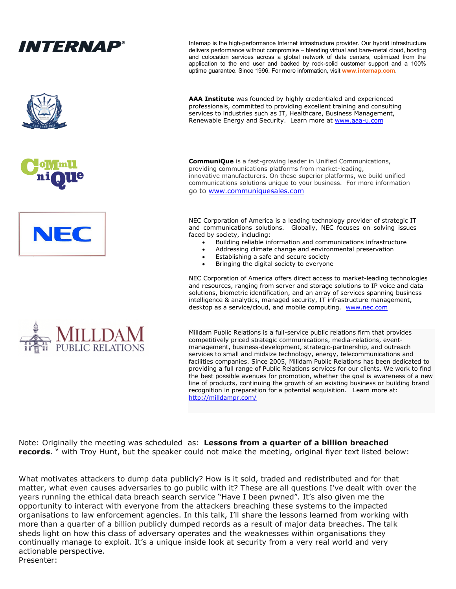

NEC Corporation of America offers direct access to market-leading technologies and resources, ranging from server and storage solutions to IP voice and data solutions, biometric identification, and an array of services spanning business intelligence & analytics, managed security, IT infrastructure management, desktop as a service/cloud, and mobile computing. [www.nec.com](http://www.nec.com/)

Milldam Public Relations is a full-service public relations firm that provides competitively priced strategic communications, media-relations, eventmanagement, business-development, strategic-partnership, and outreach services to small and midsize technology, energy, telecommunications and facilities companies. Since 2005, Milldam Public Relations has been dedicated to providing a full range of Public Relations services for our clients. We work to find the best possible avenues for promotion, whether the goal is awareness of a new line of products, continuing the growth of an existing business or building brand recognition in preparation for a potential acquisition. Learn more at: <http://milldampr.com/>

Note: Originally the meeting was scheduled as: **Lessons from a quarter of a billion breached records**. " with Troy Hunt, but the speaker could not make the meeting, original flyer text listed below:

What motivates attackers to dump data publicly? How is it sold, traded and redistributed and for that matter, what even causes adversaries to go public with it? These are all questions I've dealt with over the years running the ethical data breach search service "Have I been pwned". It's also given me the opportunity to interact with everyone from the attackers breaching these systems to the impacted organisations to law enforcement agencies. In this talk, I'll share the lessons learned from working with more than a quarter of a billion publicly dumped records as a result of major data breaches. The talk sheds light on how this class of adversary operates and the weaknesses within organisations they continually manage to exploit. It's a unique inside look at security from a very real world and very actionable perspective. Presenter: